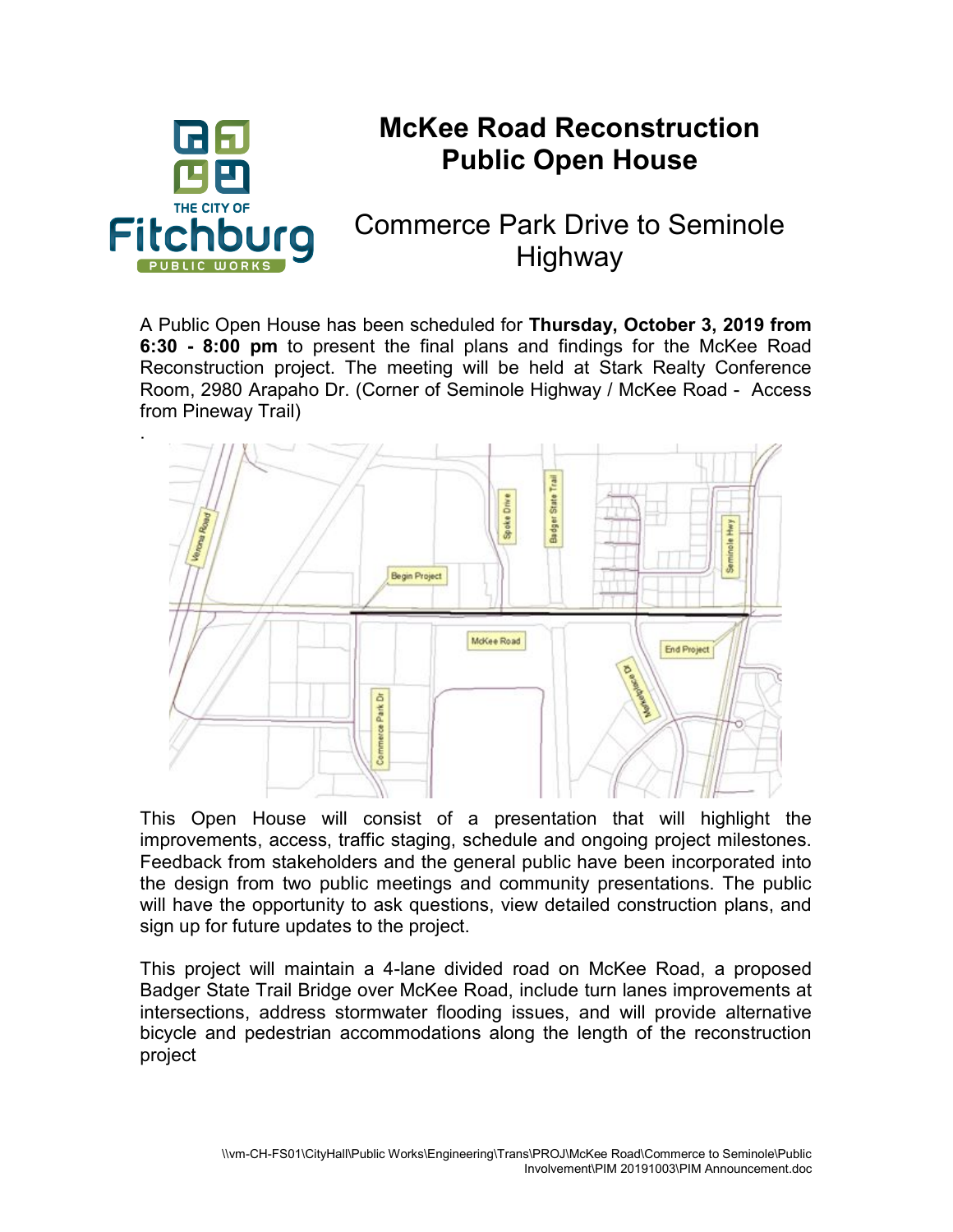

## McKee Road Reconstruction Public Open House

## Commerce Park Drive to Seminole Highway

A Public Open House has been scheduled for Thursday, October 3, 2019 from 6:30 - 8:00 pm to present the final plans and findings for the McKee Road Reconstruction project. The meeting will be held at Stark Realty Conference Room, 2980 Arapaho Dr. (Corner of Seminole Highway / McKee Road - Access from Pineway Trail)



This Open House will consist of a presentation that will highlight the improvements, access, traffic staging, schedule and ongoing project milestones. Feedback from stakeholders and the general public have been incorporated into the design from two public meetings and community presentations. The public will have the opportunity to ask questions, view detailed construction plans, and sign up for future updates to the project.

This project will maintain a 4-lane divided road on McKee Road, a proposed Badger State Trail Bridge over McKee Road, include turn lanes improvements at intersections, address stormwater flooding issues, and will provide alternative bicycle and pedestrian accommodations along the length of the reconstruction project